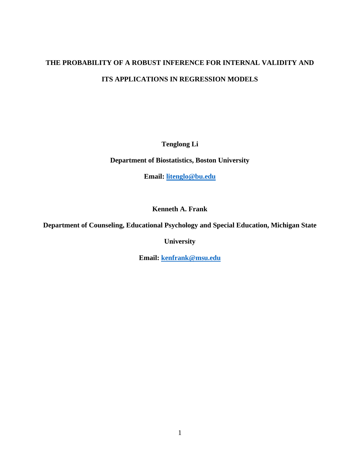# **THE PROBABILITY OF A ROBUST INFERENCE FOR INTERNAL VALIDITY AND ITS APPLICATIONS IN REGRESSION MODELS**

**Tenglong Li**

**Department of Biostatistics, Boston University**

**Email: [litenglo@bu.edu](mailto:litenglo@bu.edu)**

**Kenneth A. Frank**

**Department of Counseling, Educational Psychology and Special Education, Michigan State** 

**University** 

**Email: [kenfrank@msu.edu](mailto:kenfrank@msu.edu)**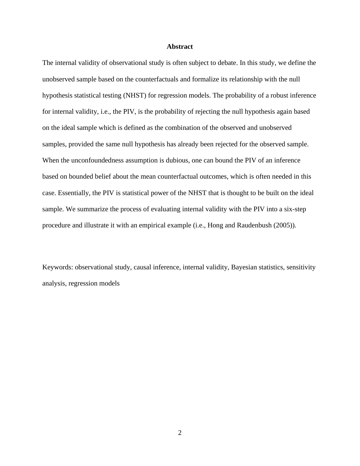## **Abstract**

The internal validity of observational study is often subject to debate. In this study, we define the unobserved sample based on the counterfactuals and formalize its relationship with the null hypothesis statistical testing (NHST) for regression models. The probability of a robust inference for internal validity, i.e., the PIV, is the probability of rejecting the null hypothesis again based on the ideal sample which is defined as the combination of the observed and unobserved samples, provided the same null hypothesis has already been rejected for the observed sample. When the unconfoundedness assumption is dubious, one can bound the PIV of an inference based on bounded belief about the mean counterfactual outcomes, which is often needed in this case. Essentially, the PIV is statistical power of the NHST that is thought to be built on the ideal sample. We summarize the process of evaluating internal validity with the PIV into a six-step procedure and illustrate it with an empirical example (i.e., Hong and Raudenbush (2005)).

Keywords: observational study, causal inference, internal validity, Bayesian statistics, sensitivity analysis, regression models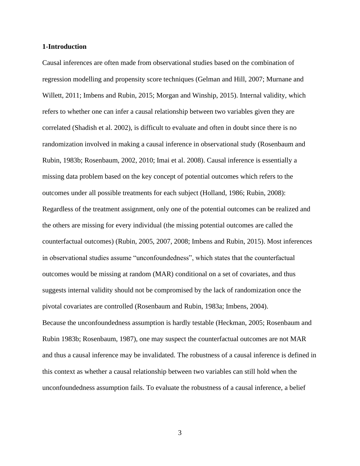## **1-Introduction**

Causal inferences are often made from observational studies based on the combination of regression modelling and propensity score techniques (Gelman and Hill, 2007; Murnane and Willett, 2011; Imbens and Rubin, 2015; Morgan and Winship, 2015). Internal validity, which refers to whether one can infer a causal relationship between two variables given they are correlated (Shadish et al. 2002), is difficult to evaluate and often in doubt since there is no randomization involved in making a causal inference in observational study (Rosenbaum and Rubin, 1983b; Rosenbaum, 2002, 2010; Imai et al. 2008). Causal inference is essentially a missing data problem based on the key concept of potential outcomes which refers to the outcomes under all possible treatments for each subject (Holland, 1986; Rubin, 2008): Regardless of the treatment assignment, only one of the potential outcomes can be realized and the others are missing for every individual (the missing potential outcomes are called the counterfactual outcomes) (Rubin, 2005, 2007, 2008; Imbens and Rubin, 2015). Most inferences in observational studies assume "unconfoundedness", which states that the counterfactual outcomes would be missing at random (MAR) conditional on a set of covariates, and thus suggests internal validity should not be compromised by the lack of randomization once the pivotal covariates are controlled (Rosenbaum and Rubin, 1983a; Imbens, 2004). Because the unconfoundedness assumption is hardly testable (Heckman, 2005; Rosenbaum and Rubin 1983b; Rosenbaum, 1987), one may suspect the counterfactual outcomes are not MAR and thus a causal inference may be invalidated. The robustness of a causal inference is defined in this context as whether a causal relationship between two variables can still hold when the unconfoundedness assumption fails. To evaluate the robustness of a causal inference, a belief

3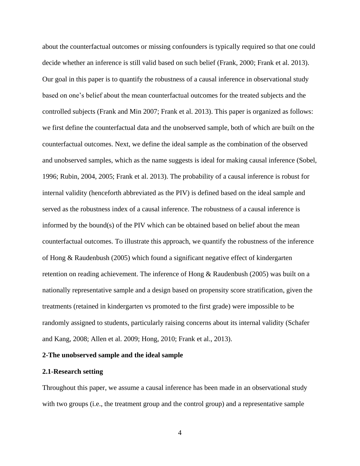about the counterfactual outcomes or missing confounders is typically required so that one could decide whether an inference is still valid based on such belief (Frank, 2000; Frank et al. 2013). Our goal in this paper is to quantify the robustness of a causal inference in observational study based on one's belief about the mean counterfactual outcomes for the treated subjects and the controlled subjects (Frank and Min 2007; Frank et al. 2013). This paper is organized as follows: we first define the counterfactual data and the unobserved sample, both of which are built on the counterfactual outcomes. Next, we define the ideal sample as the combination of the observed and unobserved samples, which as the name suggests is ideal for making causal inference (Sobel, 1996; Rubin, 2004, 2005; Frank et al. 2013). The probability of a causal inference is robust for internal validity (henceforth abbreviated as the PIV) is defined based on the ideal sample and served as the robustness index of a causal inference. The robustness of a causal inference is informed by the bound(s) of the PIV which can be obtained based on belief about the mean counterfactual outcomes. To illustrate this approach, we quantify the robustness of the inference of Hong & Raudenbush (2005) which found a significant negative effect of kindergarten retention on reading achievement. The inference of Hong & Raudenbush (2005) was built on a nationally representative sample and a design based on propensity score stratification, given the treatments (retained in kindergarten vs promoted to the first grade) were impossible to be randomly assigned to students, particularly raising concerns about its internal validity (Schafer and Kang, 2008; Allen et al. 2009; Hong, 2010; Frank et al., 2013).

## **2-The unobserved sample and the ideal sample**

#### **2.1-Research setting**

Throughout this paper, we assume a causal inference has been made in an observational study with two groups (i.e., the treatment group and the control group) and a representative sample

4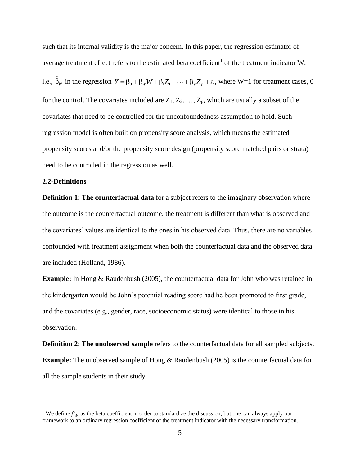such that its internal validity is the major concern. In this paper, the regression estimator of average treatment effect refers to the estimated beta coefficient<sup>1</sup> of the treatment indicator W, i.e.,  $\hat{\beta}_w$  in the regression  $Y = \beta_0 + \beta_w W + \beta_1 Z_1 + \cdots + \beta_p Z_p + \varepsilon$ , where W=1 for treatment cases, 0 for the control. The covariates included are  $Z_1, Z_2, ..., Z_p$ , which are usually a subset of the covariates that need to be controlled for the unconfoundedness assumption to hold. Such regression model is often built on propensity score analysis, which means the estimated propensity scores and/or the propensity score design (propensity score matched pairs or strata) need to be controlled in the regression as well.

# **2.2-Definitions**

**Definition 1**: **The counterfactual data** for a subject refers to the imaginary observation where the outcome is the counterfactual outcome, the treatment is different than what is observed and the covariates' values are identical to the ones in his observed data. Thus, there are no variables confounded with treatment assignment when both the counterfactual data and the observed data are included (Holland, 1986).

**Example:** In Hong & Raudenbush (2005), the counterfactual data for John who was retained in the kindergarten would be John's potential reading score had he been promoted to first grade, and the covariates (e.g., gender, race, socioeconomic status) were identical to those in his observation.

**Definition 2**: **The unobserved sample** refers to the counterfactual data for all sampled subjects. **Example:** The unobserved sample of Hong & Raudenbush (2005) is the counterfactual data for all the sample students in their study.

<sup>&</sup>lt;sup>1</sup> We define  $\beta_W$  as the beta coefficient in order to standardize the discussion, but one can always apply our framework to an ordinary regression coefficient of the treatment indicator with the necessary transformation.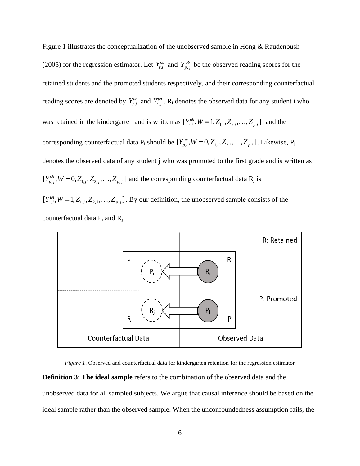Figure 1 illustrates the conceptualization of the unobserved sample in Hong & Raudenbush (2005) for the regression estimator. Let  $Y_{r,i}^{ob}$  and  $Y_{p,j}^{ob}$  be the observed reading scores for the retained students and the promoted students respectively, and their corresponding counterfactual reading scores are denoted by  $Y_{p,i}^{un}$  and  $Y_{r,j}^{un}$ . R<sub>i</sub> denotes the observed data for any student i who was retained in the kindergarten and is written as  $[Y_{r,i}^{ob}, W = 1, Z_{1,i}, Z_{2,i}, \ldots, Z_{p,i}]$ , and the corresponding counterfactual data  $P_i$  should be  $[Y_{p,i}^{un}, W = 0, Z_{1,i}, Z_{2,i}, \ldots, Z_{p,i}]$ . Likewise,  $P_j$ denotes the observed data of any student j who was promoted to the first grade and is written as  $[Y_{p,j}^{ob}, W = 0, Z_{1,j}, Z_{2,j}, \ldots, Z_{p,j}]$  and the corresponding counterfactual data R<sub>j</sub> is  $[Y_{r,j}^{un}, W = 1, Z_{1,j}, Z_{2,j}, \ldots, Z_{p,j}]$ . By our definition, the unobserved sample consists of the





*Figure 1*. Observed and counterfactual data for kindergarten retention for the regression estimator **Definition 3**: **The ideal sample** refers to the combination of the observed data and the unobserved data for all sampled subjects. We argue that causal inference should be based on the ideal sample rather than the observed sample. When the unconfoundedness assumption fails, the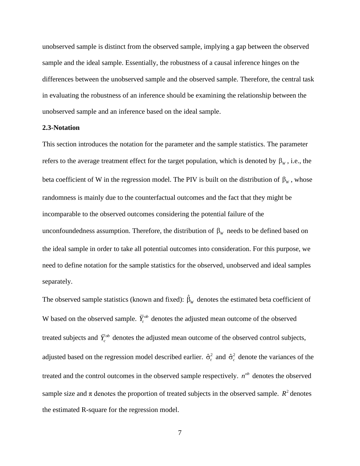unobserved sample is distinct from the observed sample, implying a gap between the observed sample and the ideal sample. Essentially, the robustness of a causal inference hinges on the differences between the unobserved sample and the observed sample. Therefore, the central task in evaluating the robustness of an inference should be examining the relationship between the unobserved sample and an inference based on the ideal sample.

## **2.3-Notation**

This section introduces the notation for the parameter and the sample statistics. The parameter refers to the average treatment effect for the target population, which is denoted by  $\beta_w$ , i.e., the beta coefficient of W in the regression model. The PIV is built on the distribution of  $\beta_w$ , whose randomness is mainly due to the counterfactual outcomes and the fact that they might be incomparable to the observed outcomes considering the potential failure of the unconfoundedness assumption. Therefore, the distribution of  $\beta_w$  needs to be defined based on the ideal sample in order to take all potential outcomes into consideration. For this purpose, we need to define notation for the sample statistics for the observed, unobserved and ideal samples separately.

The observed sample statistics (known and fixed):  $\hat{\beta}_w$  denotes the estimated beta coefficient of W based on the observed sample.  $\overline{Y}^{\omega}$  denotes the adjusted mean outcome of the observed treated subjects and  $\bar{Y}_c^{\omega}$  denotes the adjusted mean outcome of the observed control subjects, adjusted based on the regression model described earlier.  $\hat{\sigma}_t^2$  and  $\hat{\sigma}_c^2$  denote the variances of the treated and the control outcomes in the observed sample respectively.  $n^{ob}$  denotes the observed sample size and  $\pi$  denotes the proportion of treated subjects in the observed sample.  $R^2$  denotes the estimated R-square for the regression model.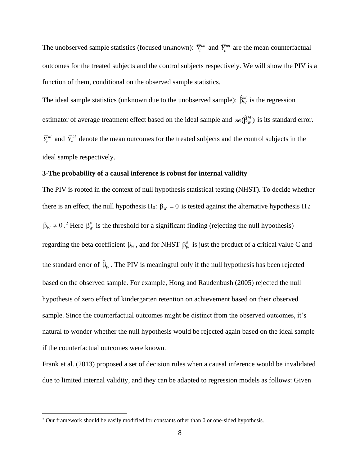The unobserved sample statistics (focused unknown):  $\bar{Y}^{un}_t$  and  $\bar{Y}^{un}_c$  are the mean counterfactual outcomes for the treated subjects and the control subjects respectively. We will show the PIV is a function of them, conditional on the observed sample statistics.

The ideal sample statistics (unknown due to the unobserved sample):  $\hat{\beta}_{w}^{id}$  is the regression estimator of average treatment effect based on the ideal sample and  $se(\hat{\beta}_{W}^{id})$  is its standard error.  $\overline{Y}^{id}$  and  $\overline{Y}^{id}$  denote the mean outcomes for the treated subjects and the control subjects in the ideal sample respectively.

## **3-The probability of a causal inference is robust for internal validity**

The PIV is rooted in the context of null hypothesis statistical testing (NHST). To decide whether there is an effect, the null hypothesis H<sub>0</sub>:  $\beta_w = 0$  is tested against the alternative hypothesis H<sub>a</sub>:  $\beta_w \neq 0$ .<sup>2</sup> Here  $\beta_w^*$  is the threshold for a significant finding (rejecting the null hypothesis) regarding the beta coefficient  $\beta_w$ , and for NHST  $\beta_w^*$  is just the product of a critical value C and the standard error of  $\hat{\beta}_w$ . The PIV is meaningful only if the null hypothesis has been rejected based on the observed sample. For example, Hong and Raudenbush (2005) rejected the null hypothesis of zero effect of kindergarten retention on achievement based on their observed sample. Since the counterfactual outcomes might be distinct from the observed outcomes, it's natural to wonder whether the null hypothesis would be rejected again based on the ideal sample if the counterfactual outcomes were known.

Frank et al. (2013) proposed a set of decision rules when a causal inference would be invalidated due to limited internal validity, and they can be adapted to regression models as follows: Given

<sup>2</sup> Our framework should be easily modified for constants other than 0 or one-sided hypothesis.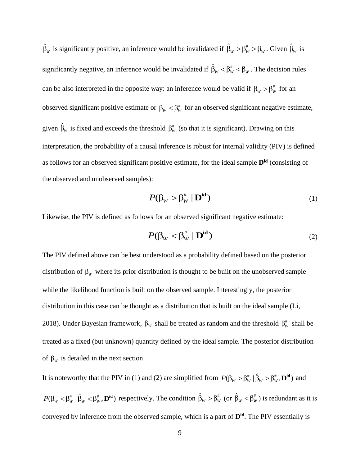$\hat{\beta}_w$  is significantly positive, an inference would be invalidated if  $\hat{\beta}_w > \beta_w^* > \beta_w$ . Given  $\hat{\beta}_w$  is significantly negative, an inference would be invalidated if  $\hat{\beta}_w < \beta_w^* < \beta_w$ . The decision rules can be also interpreted in the opposite way: an inference would be valid if  $\beta_w > \beta_w^*$  for an observed significant positive estimate or  $\beta_w < \beta_w^*$  for an observed significant negative estimate, given  $\hat{\beta}_w$  is fixed and exceeds the threshold  $\beta_w^*$  (so that it is significant). Drawing on this interpretation, the probability of a causal inference is robust for internal validity (PIV) is defined as follows for an observed significant positive estimate, for the ideal sample **Did** (consisting of the observed and unobserved samples):

$$
P(\beta_W > \beta_W^* \mid \mathbf{D}^{\mathrm{id}})
$$
 (1)

Likewise, the PIV is defined as follows for an observed significant negative estimate:

$$
P(\beta_W < \beta_W^* \mid \mathbf{D}^{\mathrm{id}})
$$
 (2)

The PIV defined above can be best understood as a probability defined based on the posterior distribution of  $\beta_w$  where its prior distribution is thought to be built on the unobserved sample while the likelihood function is built on the observed sample. Interestingly, the posterior distribution in this case can be thought as a distribution that is built on the ideal sample (Li, 2018). Under Bayesian framework,  $\beta_w$  shall be treated as random and the threshold  $\beta_w^*$  shall be treated as a fixed (but unknown) quantity defined by the ideal sample. The posterior distribution of  $\beta_w$  is detailed in the next section.

It is noteworthy that the PIV in (1) and (2) are simplified from  $P(\beta_w > \beta_w^* | \hat{\beta}_w > \beta_w^* , \mathbf{D}^{\text{id}})$  and  $P(\beta_{W} < \beta_{W}^{*} | \hat{\beta}_{W} < \beta_{W}^{*}, \mathbf{D}^{\text{id}})$  respectively. The condition  $\hat{\beta}_{W} > \beta_{W}^{*}$  (or  $\hat{\beta}_{W} < \beta_{W}^{*}$ ) is redundant as it is conveyed by inference from the observed sample, which is a part of **Did**. The PIV essentially is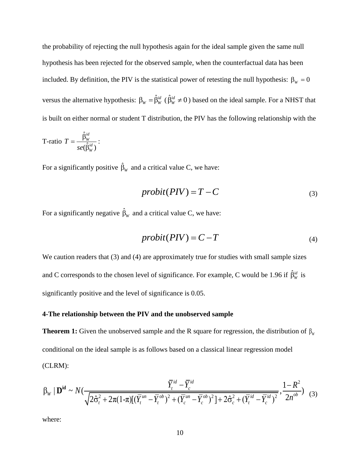the probability of rejecting the null hypothesis again for the ideal sample given the same null hypothesis has been rejected for the observed sample, when the counterfactual data has been included. By definition, the PIV is the statistical power of retesting the null hypothesis:  $\beta_w = 0$ versus the alternative hypothesis:  $\beta_w = \hat{\beta}_w^{id}$  ( $\hat{\beta}_w^{id} \neq 0$ ) based on the ideal sample. For a NHST that is built on either normal or student T distribution, the PIV has the following relationship with the

$$
T\text{-ratio }T=\frac{\hat{\beta}_{W}^{id}}{se(\hat{\beta}_{W}^{id})}:
$$

For a significantly positive  $\hat{\beta}_w$  and a critical value C, we have:

$$
probit(PIV) = T - C \tag{3}
$$

For a significantly negative  $\hat{\beta}_w$  and a critical value C, we have:

$$
probit(PIV) = C - T \tag{4}
$$

We caution readers that (3) and (4) are approximately true for studies with small sample sizes and C corresponds to the chosen level of significance. For example, C would be 1.96 if  $\hat{\beta}_w^{id}$  is significantly positive and the level of significance is 0.05.

# **4-The relationship between the PIV and the unobserved sample**

**Theorem 1:** Given the unobserved sample and the R square for regression, the distribution of  $\beta_w$ conditional on the ideal sample is as follows based on a classical linear regression model (CLRM):  $\frac{\overline{Y}_t^{id} - \overline{Y}_c^{id}}{2 \overline{Y}_t^{id} - \overline{Y}_c^{ik}}$ 

$$
\text{(CLRM):}\n\beta_W \mid \mathbf{D}^{\text{id}} \sim N\left(\frac{\overline{Y}_t^{id} - \overline{Y}_c^{id}}{\sqrt{2\hat{\sigma}_t^2 + 2\pi(1-\pi)[(\overline{Y}_t^{un} - \overline{Y}_t^{ob})^2 + (\overline{Y}_c^{un} - \overline{Y}_c^{ob})^2] + 2\hat{\sigma}_c^2 + (\overline{Y}_t^{id} - \overline{Y}_c^{id})^2}}, \frac{1 - R^2}{2n^{ob}}\right) (3)
$$

where: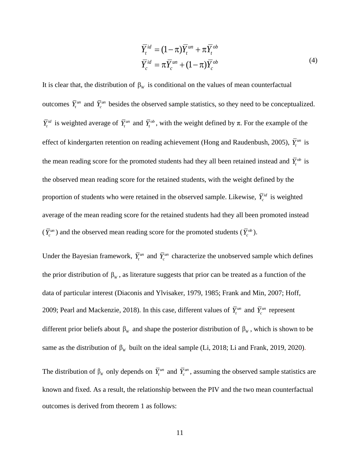$$
\overline{Y}_t^{id} = (1 - \pi) \overline{Y}_t^{un} + \pi \overline{Y}_t^{ob}
$$
\n
$$
\overline{Y}_c^{id} = \pi \overline{Y}_c^{un} + (1 - \pi) \overline{Y}_c^{ob}
$$
\n(4)

 $(1 - \pi)$ <br>  $\pi \overline{Y_c}^{un}$  +<br>
mditiona<br>
ed samp<br>
with the<br>
gachieve<br>
tudents<br>
tained s<br>
in the obt<br>
retained<br>
e for the<br>
retained<br>
e for the<br>
retained<br>
e for the<br>
retained<br>
ideal sa<br>
ideal sa<br>
ideal sa<br>
ideal sa<br>
ideal sa<br> It is clear that, the distribution of  $\beta_w$  is conditional on the values of mean counterfactual outcomes  $\overline{Y}$ <sup>*tun*</sup> and  $\overline{Y}$ <sup>*cun*</sup> besides the observed sample statistics, so they need to be conceptualized.  $\overline{Y}^{\textit{id}}_t$  is weighted average of  $\overline{Y}^{\textit{un}}_t$  and  $\overline{Y}^{\textit{ob}}_t$ , with the weight defined by  $\pi$ . For the example of the effect of kindergarten retention on reading achievement (Hong and Raudenbush, 2005),  $\bar{Y}_t^{\text{un}}$  is the mean reading score for the promoted students had they all been retained instead and  $\bar{Y}^{\omega}$  is the observed mean reading score for the retained students, with the weight defined by the proportion of students who were retained in the observed sample. Likewise,  $\overline{Y}_c^{id}$  is weighted average of the mean reading score for the retained students had they all been promoted instead  $(\bar{Y}_c^{un})$  and the observed mean reading score for the promoted students  $(\bar{Y}_c^{ob})$ .

Under the Bayesian framework,  $\bar{Y}^{un}_{c}$  and  $\bar{Y}^{un}_{c}$  characterize the unobserved sample which defines the prior distribution of  $\beta_w$ , as literature suggests that prior can be treated as a function of the data of particular interest (Diaconis and Ylvisaker, 1979, 1985; Frank and Min, 2007; Hoff, 2009; Pearl and Mackenzie, 2018). In this case, different values of  $\bar{Y}^{un}_t$  and  $\bar{Y}^{un}_c$  represent different prior beliefs about  $\beta_w$  and shape the posterior distribution of  $\beta_w$ , which is shown to be same as the distribution of  $\beta_w$  built on the ideal sample (Li, 2018; Li and Frank, 2019, 2020).

The distribution of  $\beta_w$  only depends on  $\overline{Y}^{un}_t$  and  $\overline{Y}^{un}_c$ , assuming the observed sample statistics are known and fixed. As a result, the relationship between the PIV and the two mean counterfactual outcomes is derived from theorem 1 as follows: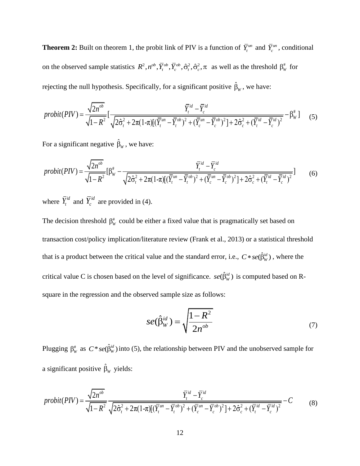**Theorem 2:** Built on theorem 1, the probit link of PIV is a function of  $\overline{Y}$ <sup>*un*</sup> and  $\overline{Y}$ <sup>*un*</sup>, conditional on the observed sample statistics  $R^2, n^{ob}, \overline{Y}_i^{ob}, \overline{Y}_c^{ob}, \hat{\sigma}_i^2, \hat{\sigma}_c^2, \pi$  as well as the threshold  $\beta^*_{w}$  for

rejecting the null hypothesis. Specifically, for a significant positive 
$$
\hat{\beta}_w
$$
, we have:  
\n
$$
probit(PIV) = \frac{\sqrt{2n^{ob}}}{\sqrt{1 - R^2}} \left[ \frac{\overline{Y}_t^{id} - \overline{Y}_c^{id}}{\sqrt{2\hat{\sigma}_t^2 + 2\pi(1-\pi)[(\overline{Y}_t^{un} - \overline{Y}_t^{ob})^2 + (\overline{Y}_c^{un} - \overline{Y}_c^{ob})^2] + 2\hat{\sigma}_c^2 + (\overline{Y}_t^{id} - \overline{Y}_c^{id})^2}} - \beta_w^{\#} \right]
$$
(5)

For a significant negative  $\hat{\beta}_w$ , we have:

For a significant negative 
$$
\hat{\beta}_w
$$
, we have:  
\n
$$
probit(PIV) = \frac{\sqrt{2n^{ob}}}{\sqrt{1 - R^2}} [\beta_w^{\#} - \frac{\overline{Y}_t^{id} - \overline{Y}_c^{id}}{\sqrt{2\hat{\sigma}_t^2 + 2\pi(1-\pi)[(\overline{Y}_t^{un} - \overline{Y}_t^{ob})^2 + (\overline{Y}_c^{un} - \overline{Y}_c^{ob})^2] + 2\hat{\sigma}_c^2 + (\overline{Y}_t^{id} - \overline{Y}_c^{id})^2}}]
$$
\n(6)

where  $\overline{Y}_t^{id}$  and  $\overline{Y}_c^{id}$  are provided in (4).

The decision threshold  $\beta_w^*$  could be either a fixed value that is pragmatically set based on transaction cost/policy implication/literature review (Frank et al., 2013) or a statistical threshold that is a product between the critical value and the standard error, i.e.,  $C \cdot se(\hat{\beta}_w^{id})$ , where the critical value C is chosen based on the level of significance.  $se(\hat{\beta}_{w}^{id})$  is computed based on Rsquare in the regression and the observed sample size as follows:

$$
se(\hat{\beta}_W^{id}) = \sqrt{\frac{1 - R^2}{2n^{ob}}} \tag{7}
$$

Plugging  $\beta_w^*$  as  $C*se(\hat{\beta}_w^{\text{id}})$  into (5), the relationship between PIV and the unobserved sample for

a significant positive 
$$
\hat{\beta}_w
$$
 yields:  
\n
$$
probit(PIV) = \frac{\sqrt{2n^{ob}}}{\sqrt{1 - R^2}} \frac{\overline{Y}_t^{id} - \overline{Y}_c^{id}}{\sqrt{2\hat{\sigma}_t^2 + 2\pi(1 - \pi)[(\overline{Y}_t^{un} - \overline{Y}_t^{ob})^2 + (\overline{Y}_c^{un} - \overline{Y}_c^{ob})^2] + 2\hat{\sigma}_c^2 + (\overline{Y}_t^{id} - \overline{Y}_c^{id})^2}} - C
$$
\n(8)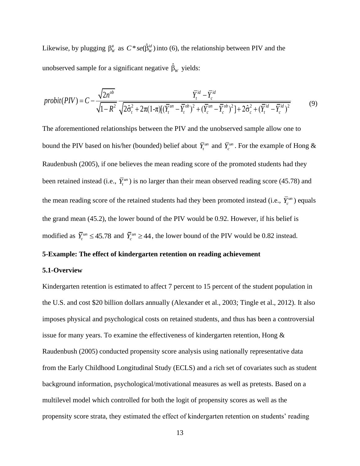Likewise, by plugging  $\beta_w^*$  as  $C^*se(\hat{\beta}_w^{id})$  into (6), the relationship between PIV and the

unobserved sample for a significant negative 
$$
\hat{\beta}_w
$$
 yields:  
\n
$$
probit(PIV) = C - \frac{\sqrt{2n^{ob}}}{\sqrt{1 - R^2}} \frac{\overline{Y}_t^{id} - \overline{Y}_c^{id}}{\sqrt{2\hat{\sigma}_t^2 + 2\pi(1-\pi)[(\overline{Y}_t^{un} - \overline{Y}_t^{ob})^2 + (\overline{Y}_c^{un} - \overline{Y}_c^{ob})^2] + 2\hat{\sigma}_c^2 + (\overline{Y}_t^{id} - \overline{Y}_c^{id})^2}}
$$
\n(9)

The aforementioned relationships between the PIV and the unobserved sample allow one to bound the PIV based on his/her (bounded) belief about  $\bar{Y}^{un}_t$  and  $\bar{Y}^{un}_c$ . For the example of Hong & Raudenbush (2005), if one believes the mean reading score of the promoted students had they been retained instead (i.e.,  $\bar{Y}^{\text{un}}$ ) is no larger than their mean observed reading score (45.78) and the mean reading score of the retained students had they been promoted instead (i.e.,  $\bar{Y}_c^{un}$ ) equals the grand mean (45.2), the lower bound of the PIV would be 0.92. However, if his belief is modified as  $\overline{Y}^{un}_t \le 45.78$  and  $\overline{Y}^{un}_c \ge 44$ , the lower bound of the PIV would be 0.82 instead.

## **5-Example: The effect of kindergarten retention on reading achievement**

## **5.1-Overview**

Kindergarten retention is estimated to affect 7 percent to 15 percent of the student population in the U.S. and cost \$20 billion dollars annually (Alexander et al., 2003; Tingle et al., 2012). It also imposes physical and psychological costs on retained students, and thus has been a controversial issue for many years. To examine the effectiveness of kindergarten retention, Hong & Raudenbush (2005) conducted propensity score analysis using nationally representative data from the Early Childhood Longitudinal Study (ECLS) and a rich set of covariates such as student background information, psychological/motivational measures as well as pretests. Based on a multilevel model which controlled for both the logit of propensity scores as well as the propensity score strata, they estimated the effect of kindergarten retention on students' reading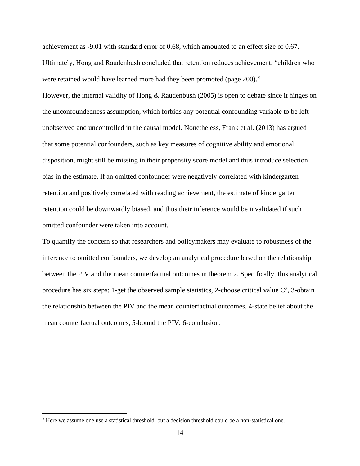achievement as -9.01 with standard error of 0.68, which amounted to an effect size of 0.67. Ultimately, Hong and Raudenbush concluded that retention reduces achievement: "children who were retained would have learned more had they been promoted (page 200)."

However, the internal validity of Hong & Raudenbush (2005) is open to debate since it hinges on the unconfoundedness assumption, which forbids any potential confounding variable to be left unobserved and uncontrolled in the causal model. Nonetheless, Frank et al. (2013) has argued that some potential confounders, such as key measures of cognitive ability and emotional disposition, might still be missing in their propensity score model and thus introduce selection bias in the estimate. If an omitted confounder were negatively correlated with kindergarten retention and positively correlated with reading achievement, the estimate of kindergarten retention could be downwardly biased, and thus their inference would be invalidated if such omitted confounder were taken into account.

To quantify the concern so that researchers and policymakers may evaluate to robustness of the inference to omitted confounders, we develop an analytical procedure based on the relationship between the PIV and the mean counterfactual outcomes in theorem 2. Specifically, this analytical procedure has six steps: 1-get the observed sample statistics, 2-choose critical value  $C^3$ , 3-obtain the relationship between the PIV and the mean counterfactual outcomes, 4-state belief about the mean counterfactual outcomes, 5-bound the PIV, 6-conclusion.

<sup>&</sup>lt;sup>3</sup> Here we assume one use a statistical threshold, but a decision threshold could be a non-statistical one.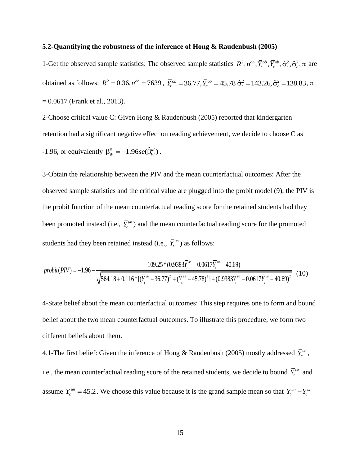## **5.2-Quantifying the robustness of the inference of Hong & Raudenbush (2005)**

1-Get the observed sample statistics: The observed sample statistics  $R^2, n^{ob}, \overline{Y}_i^{ob}, \overline{Y}_c^{ob}, \hat{\sigma}_i^2, \hat{\sigma}_c^2, \pi$  are obtained as follows:  $R^2 = 0.36$ ,  $n^{ob} = 7639$ ,  $\bar{Y}_t^{ob} = 36.77$ ,  $\bar{Y}_c^{ob} = 45.78$   $\hat{\sigma}_t^2 = 143.26$ ,  $\hat{\sigma}_c^2 = 138.83$ ,  $\pi$  $= 0.0617$  (Frank et al., 2013).

2-Choose critical value C: Given Hong & Raudenbush (2005) reported that kindergarten retention had a significant negative effect on reading achievement, we decide to choose C as  $-1.96$ , or equivalently  $\beta_w^* = -1.96se(\hat{\beta}_w^{id})$ .

3-Obtain the relationship between the PIV and the mean counterfactual outcomes: After the observed sample statistics and the critical value are plugged into the probit model (9), the PIV is the probit function of the mean counterfactual reading score for the retained students had they been promoted instead (i.e.,  $\bar{Y}_c^{un}$ ) and the mean counterfactual reading score for the promoted

students had they been retained instead (i.e., 
$$
\overline{Y}_t^{un}
$$
) as follows:  
\n
$$
probit(PIV) = -1.96 - \frac{109.25*(0.9383\overline{Y}_t^{un} - 0.0617\overline{Y}_c^{un} - 40.69)}{\sqrt{564.18 + 0.116*(\overline{Y}_t^{un} - 36.77)^2 + (\overline{Y}_t^{un} - 45.78)^2 + (0.9383\overline{Y}_t^{un} - 0.0617\overline{Y}_c^{un} - 40.69)^2}}
$$
(10)

4-State belief about the mean counterfactual outcomes: This step requires one to form and bound belief about the two mean counterfactual outcomes. To illustrate this procedure, we form two different beliefs about them.

4.1-The first belief: Given the inference of Hong & Raudenbush (2005) mostly addressed  $\bar{Y}_c^{un}$ , i.e., the mean counterfactual reading score of the retained students, we decide to bound  $\bar{Y}^{un}$  and assume  $\overline{Y}_c^{un} = 45.2$ . We choose this value because it is the grand sample mean so that  $\overline{Y}_t^{un} - \overline{Y}_c^{un}$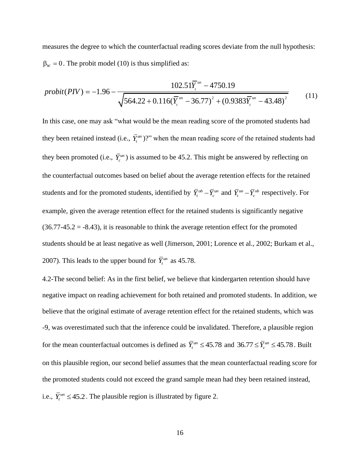measures the degree to which the counterfactual reading scores deviate from the null hypothesis:  $\beta_w = 0$ . The probit model (10) is thus simplified as:

$$
\beta_{w} = 0. \text{ The probit model (10) is thus simplified as:}
$$
\n
$$
probit(PIV) = -1.96 - \frac{102.51\overline{Y}_{t}^{um} - 4750.19}{\sqrt{564.22 + 0.116(\overline{Y}_{t}^{um} - 36.77)^{2} + (0.9383\overline{Y}_{t}^{um} - 43.48)^{2}}}
$$
\n(11)

In this case, one may ask "what would be the mean reading score of the promoted students had they been retained instead (i.e.,  $\bar{Y}^{\text{un}}_t$ )?" when the mean reading score of the retained students had they been promoted (i.e.,  $\bar{Y}_c^{un}$ ) is assumed to be 45.2. This might be answered by reflecting on the counterfactual outcomes based on belief about the average retention effects for the retained students and for the promoted students, identified by  $\overline{Y}_t^{ob} - \overline{Y}_c^{un}$  and  $\overline{Y}_t^{un} - \overline{Y}_c^{ob}$  respectively. For example, given the average retention effect for the retained students is significantly negative  $(36.77-45.2 = -8.43)$ , it is reasonable to think the average retention effect for the promoted students should be at least negative as well (Jimerson, 2001; Lorence et al., 2002; Burkam et al., 2007). This leads to the upper bound for  $\overline{Y}_t^{\mu n}$  as 45.78.

4.2-The second belief: As in the first belief, we believe that kindergarten retention should have negative impact on reading achievement for both retained and promoted students. In addition, we believe that the original estimate of average retention effect for the retained students, which was -9, was overestimated such that the inference could be invalidated. Therefore, a plausible region for the mean counterfactual outcomes is defined as  $\overline{Y}_t^{un} \le 45.78$  and  $36.77 \le \overline{Y}_c^{un} \le 45.78$ . Built on this plausible region, our second belief assumes that the mean counterfactual reading score for the promoted students could not exceed the grand sample mean had they been retained instead, i.e.,  $\overline{Y}^{un}_{t} \le 45.2$ . The plausible region is illustrated by figure 2.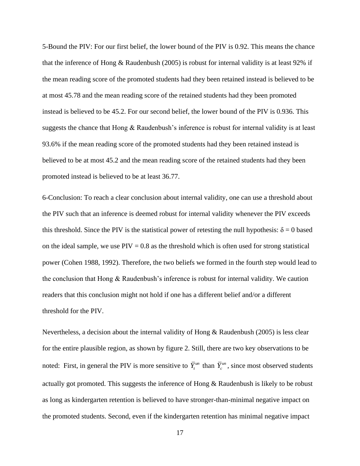5-Bound the PIV: For our first belief, the lower bound of the PIV is 0.92. This means the chance that the inference of Hong & Raudenbush (2005) is robust for internal validity is at least 92% if the mean reading score of the promoted students had they been retained instead is believed to be at most 45.78 and the mean reading score of the retained students had they been promoted instead is believed to be 45.2. For our second belief, the lower bound of the PIV is 0.936. This suggests the chance that Hong & Raudenbush's inference is robust for internal validity is at least 93.6% if the mean reading score of the promoted students had they been retained instead is believed to be at most 45.2 and the mean reading score of the retained students had they been promoted instead is believed to be at least 36.77.

6-Conclusion: To reach a clear conclusion about internal validity, one can use a threshold about the PIV such that an inference is deemed robust for internal validity whenever the PIV exceeds this threshold. Since the PIV is the statistical power of retesting the null hypothesis:  $\delta = 0$  based on the ideal sample, we use  $PIV = 0.8$  as the threshold which is often used for strong statistical power (Cohen 1988, 1992). Therefore, the two beliefs we formed in the fourth step would lead to the conclusion that Hong & Raudenbush's inference is robust for internal validity. We caution readers that this conclusion might not hold if one has a different belief and/or a different threshold for the PIV.

Nevertheless, a decision about the internal validity of Hong & Raudenbush (2005) is less clear for the entire plausible region, as shown by figure 2. Still, there are two key observations to be noted: First, in general the PIV is more sensitive to  $\bar{Y}^{un}_t$  than  $\bar{Y}^{un}_c$ , since most observed students actually got promoted. This suggests the inference of Hong & Raudenbush is likely to be robust as long as kindergarten retention is believed to have stronger-than-minimal negative impact on the promoted students. Second, even if the kindergarten retention has minimal negative impact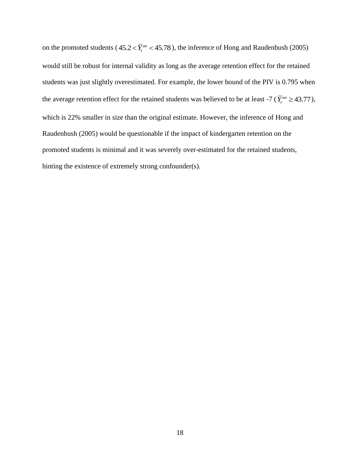on the promoted students ( $45.2 < \overline{Y}_t^{\text{un}} < 45.78$ ), the inference of Hong and Raudenbush (2005) would still be robust for internal validity as long as the average retention effect for the retained students was just slightly overestimated. For example, the lower bound of the PIV is 0.795 when the average retention effect for the retained students was believed to be at least -7 ( $\bar{Y}_c^{un} \ge 43.77$ ), which is 22% smaller in size than the original estimate. However, the inference of Hong and Raudenbush (2005) would be questionable if the impact of kindergarten retention on the promoted students is minimal and it was severely over-estimated for the retained students, hinting the existence of extremely strong confounder(s).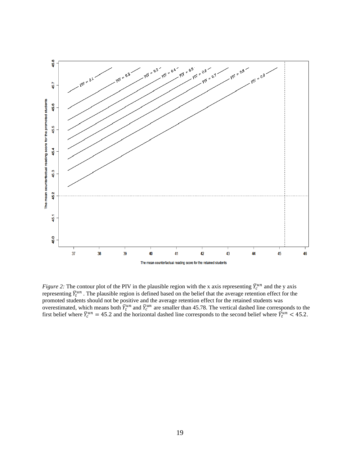

*Figure 2:* The contour plot of the PIV in the plausible region with the x axis representing  $\bar{Y}_c^{un}$  and the y axis representing  $\bar{Y}_t^{un}$  . The plausible region is defined based on the belief that the average retention effect for the promoted students should not be positive and the average retention effect for the retained students was overestimated, which means both  $\bar{Y}_t^{un}$  and  $\bar{Y}_c^{un}$  are smaller than 45.78. The vertical dashed line corresponds to the first belief where  $\bar{Y}_c^{un} = 45.2$  and the horizontal dashed line corresponds to the second belief where  $\bar{Y}_t^{un} < 45.2$ .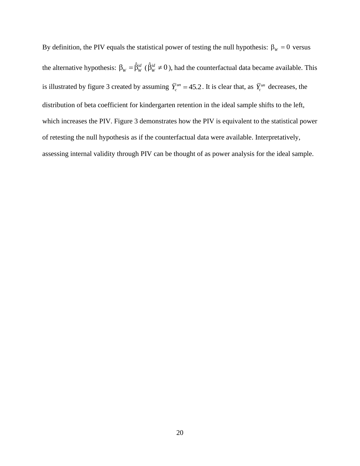By definition, the PIV equals the statistical power of testing the null hypothesis:  $\beta_w = 0$  versus the alternative hypothesis:  $\beta_w = \hat{\beta}_w^{id}$  ( $\hat{\beta}_w^{id} \neq 0$ ), had the counterfactual data became available. This is illustrated by figure 3 created by assuming  $\overline{Y}_c^{un} = 45.2$ . It is clear that, as  $\overline{Y}_t^{un}$  decreases, the distribution of beta coefficient for kindergarten retention in the ideal sample shifts to the left, which increases the PIV. Figure 3 demonstrates how the PIV is equivalent to the statistical power of retesting the null hypothesis as if the counterfactual data were available. Interpretatively, assessing internal validity through PIV can be thought of as power analysis for the ideal sample.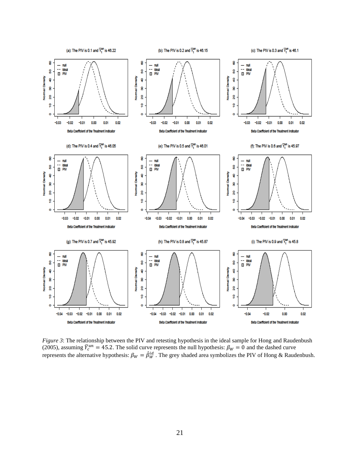

*Figure 3*: The relationship between the PIV and retesting hypothesis in the ideal sample for Hong and Raudenbush (2005), assuming  $\bar{Y}_c^{un} = 45.2$ . The solid curve represents the null hypothesis:  $\beta_W = 0$  and the dashed curve represents the alternative hypothesis:  $\beta_W = \hat{\beta}_W^{id}$  . The grey shaded area symbolizes the PIV of Hong & Raudenbush.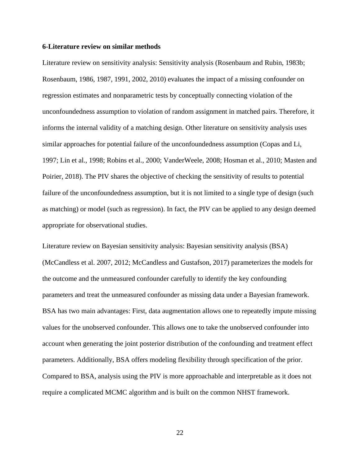## **6-Literature review on similar methods**

Literature review on sensitivity analysis: Sensitivity analysis (Rosenbaum and Rubin, 1983b; Rosenbaum, 1986, 1987, 1991, 2002, 2010) evaluates the impact of a missing confounder on regression estimates and nonparametric tests by conceptually connecting violation of the unconfoundedness assumption to violation of random assignment in matched pairs. Therefore, it informs the internal validity of a matching design. Other literature on sensitivity analysis uses similar approaches for potential failure of the unconfoundedness assumption (Copas and Li, 1997; Lin et al., 1998; Robins et al., 2000; VanderWeele, 2008; Hosman et al., 2010; Masten and Poirier, 2018). The PIV shares the objective of checking the sensitivity of results to potential failure of the unconfoundedness assumption, but it is not limited to a single type of design (such as matching) or model (such as regression). In fact, the PIV can be applied to any design deemed appropriate for observational studies.

Literature review on Bayesian sensitivity analysis: Bayesian sensitivity analysis (BSA) (McCandless et al. 2007, 2012; McCandless and Gustafson, 2017) parameterizes the models for the outcome and the unmeasured confounder carefully to identify the key confounding parameters and treat the unmeasured confounder as missing data under a Bayesian framework. BSA has two main advantages: First, data augmentation allows one to repeatedly impute missing values for the unobserved confounder. This allows one to take the unobserved confounder into account when generating the joint posterior distribution of the confounding and treatment effect parameters. Additionally, BSA offers modeling flexibility through specification of the prior. Compared to BSA, analysis using the PIV is more approachable and interpretable as it does not require a complicated MCMC algorithm and is built on the common NHST framework.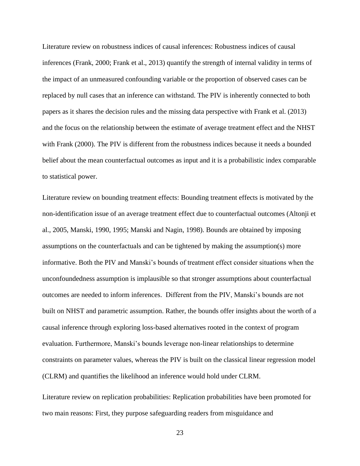Literature review on robustness indices of causal inferences: Robustness indices of causal inferences (Frank, 2000; Frank et al., 2013) quantify the strength of internal validity in terms of the impact of an unmeasured confounding variable or the proportion of observed cases can be replaced by null cases that an inference can withstand. The PIV is inherently connected to both papers as it shares the decision rules and the missing data perspective with Frank et al. (2013) and the focus on the relationship between the estimate of average treatment effect and the NHST with Frank (2000). The PIV is different from the robustness indices because it needs a bounded belief about the mean counterfactual outcomes as input and it is a probabilistic index comparable to statistical power.

Literature review on bounding treatment effects: Bounding treatment effects is motivated by the non-identification issue of an average treatment effect due to counterfactual outcomes (Altonji et al., 2005, Manski, 1990, 1995; Manski and Nagin, 1998). Bounds are obtained by imposing assumptions on the counterfactuals and can be tightened by making the assumption(s) more informative. Both the PIV and Manski's bounds of treatment effect consider situations when the unconfoundedness assumption is implausible so that stronger assumptions about counterfactual outcomes are needed to inform inferences. Different from the PIV, Manski's bounds are not built on NHST and parametric assumption. Rather, the bounds offer insights about the worth of a causal inference through exploring loss-based alternatives rooted in the context of program evaluation. Furthermore, Manski's bounds leverage non-linear relationships to determine constraints on parameter values, whereas the PIV is built on the classical linear regression model (CLRM) and quantifies the likelihood an inference would hold under CLRM.

Literature review on replication probabilities: Replication probabilities have been promoted for two main reasons: First, they purpose safeguarding readers from misguidance and

23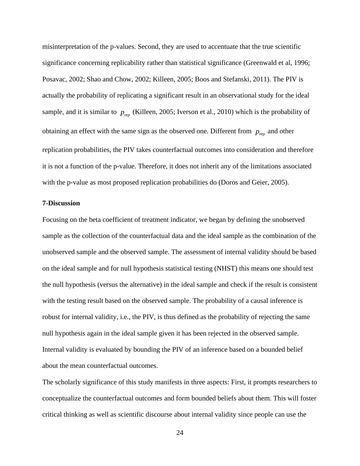misinterpretation of the p-values. Second, they are used to accentuate that the true scientific significance concerning replicability rather than statistical significance (Greenwald et al, 1996; Posavac, 2002; Shao and Chow, 2002; Killeen, 2005; Boos and Stefanski, 2011). The PIV is actually the probability of replicating a significant result in an observational study for the ideal sample, and it is similar to  $p_{\text{rep}}$  (Killeen, 2005; Iverson et al., 2010) which is the probability of obtaining an effect with the same sign as the observed one. Different from  $p_{\text{rep}}$  and other replication probabilities, the PIV takes counterfactual outcomes into consideration and therefore it is not a function of the p-value. Therefore, it does not inherit any of the limitations associated with the p-value as most proposed replication probabilities do (Doros and Geier, 2005).

## **7-Discussion**

Focusing on the beta coefficient of treatment indicator, we began by defining the unobserved sample as the collection of the counterfactual data and the ideal sample as the combination of the unobserved sample and the observed sample. The assessment of internal validity should be based on the ideal sample and for null hypothesis statistical testing (NHST) this means one should test the null hypothesis (versus the alternative) in the ideal sample and check if the result is consistent with the testing result based on the observed sample. The probability of a causal inference is robust for internal validity, i.e., the PIV, is thus defined as the probability of rejecting the same null hypothesis again in the ideal sample given it has been rejected in the observed sample. Internal validity is evaluated by bounding the PIV of an inference based on a bounded belief about the mean counterfactual outcomes.

The scholarly significance of this study manifests in three aspects: First, it prompts researchers to conceptualize the counterfactual outcomes and form bounded beliefs about them. This will foster critical thinking as well as scientific discourse about internal validity since people can use the

24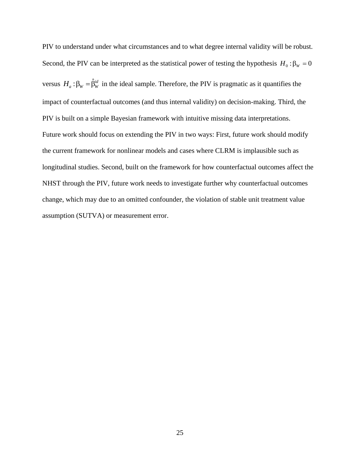PIV to understand under what circumstances and to what degree internal validity will be robust. Second, the PIV can be interpreted as the statistical power of testing the hypothesis  $H_0: \beta_W = 0$ versus  $H_a: \beta_w = \hat{\beta}_w^{id}$  in the ideal sample. Therefore, the PIV is pragmatic as it quantifies the impact of counterfactual outcomes (and thus internal validity) on decision-making. Third, the PIV is built on a simple Bayesian framework with intuitive missing data interpretations. Future work should focus on extending the PIV in two ways: First, future work should modify the current framework for nonlinear models and cases where CLRM is implausible such as longitudinal studies. Second, built on the framework for how counterfactual outcomes affect the NHST through the PIV, future work needs to investigate further why counterfactual outcomes change, which may due to an omitted confounder, the violation of stable unit treatment value assumption (SUTVA) or measurement error.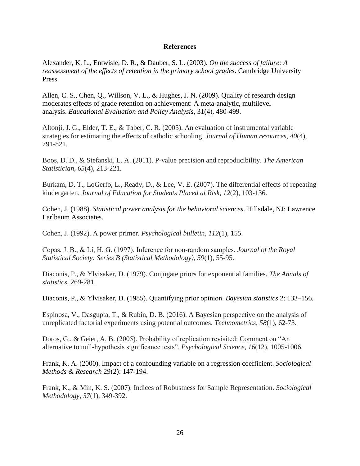## **References**

Alexander, K. L., Entwisle, D. R., & Dauber, S. L. (2003). *On the success of failure: A reassessment of the effects of retention in the primary school grades*. Cambridge University Press.

Allen, C. S., Chen, Q., Willson, V. L., & Hughes, J. N. (2009). Quality of research design moderates effects of grade retention on achievement: A meta-analytic, multilevel analysis. *Educational Evaluation and Policy Analysis*, 31(4), 480-499.

Altonji, J. G., Elder, T. E., & Taber, C. R. (2005). An evaluation of instrumental variable strategies for estimating the effects of catholic schooling. *Journal of Human resources*, *40*(4), 791-821.

Boos, D. D., & Stefanski, L. A. (2011). P-value precision and reproducibility. *The American Statistician*, *65*(4), 213-221.

Burkam, D. T., LoGerfo, L., Ready, D., & Lee, V. E. (2007). The differential effects of repeating kindergarten. *Journal of Education for Students Placed at Risk*, *12*(2), 103-136.

Cohen, J. (1988). *Statistical power analysis for the behavioral sciences*. Hillsdale, NJ: Lawrence Earlbaum Associates.

Cohen, J. (1992). A power primer. *Psychological bulletin*, *112*(1), 155.

Copas, J. B., & Li, H. G. (1997). Inference for non‐random samples. *Journal of the Royal Statistical Society: Series B (Statistical Methodology)*, *59*(1), 55-95.

Diaconis, P., & Ylvisaker, D. (1979). Conjugate priors for exponential families. *The Annals of statistics*, 269-281.

Diaconis, P., & Ylvisaker, D. (1985). Quantifying prior opinion. *Bayesian statistics* 2: 133–156.

Espinosa, V., Dasgupta, T., & Rubin, D. B. (2016). A Bayesian perspective on the analysis of unreplicated factorial experiments using potential outcomes. *Technometrics*, *58*(1), 62-73.

Doros, G., & Geier, A. B. (2005). Probability of replication revisited: Comment on "An alternative to null-hypothesis significance tests". *Psychological Science*, *16*(12), 1005-1006.

Frank, K. A. (2000). Impact of a confounding variable on a regression coefficient. *Sociological Methods & Research* 29(2): 147-194.

Frank, K., & Min, K. S. (2007). Indices of Robustness for Sample Representation. *Sociological Methodology*, *37*(1), 349-392.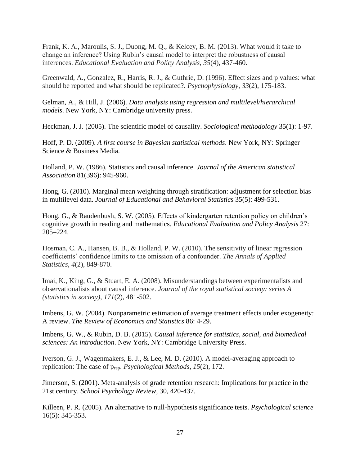Frank, K. A., Maroulis, S. J., Duong, M. Q., & Kelcey, B. M. (2013). What would it take to change an inference? Using Rubin's causal model to interpret the robustness of causal inferences. *Educational Evaluation and Policy Analysis*, *35*(4), 437-460.

Greenwald, A., Gonzalez, R., Harris, R. J., & Guthrie, D. (1996). Effect sizes and p values: what should be reported and what should be replicated?. *Psychophysiology*, *33*(2), 175-183.

Gelman, A., & Hill, J. (2006). *Data analysis using regression and multilevel/hierarchical models*. New York, NY: Cambridge university press.

Heckman, J. J. (2005). The scientific model of causality. *Sociological methodology* 35(1): 1-97.

Hoff, P. D. (2009). *A first course in Bayesian statistical methods*. New York, NY: Springer Science & Business Media.

Holland, P. W. (1986). Statistics and causal inference. *Journal of the American statistical Association* 81(396): 945-960.

Hong, G. (2010). Marginal mean weighting through stratification: adjustment for selection bias in multilevel data. *Journal of Educational and Behavioral Statistics* 35(5): 499-531.

Hong, G., & Raudenbush, S. W. (2005). Effects of kindergarten retention policy on children's cognitive growth in reading and mathematics. *Educational Evaluation and Policy Analysis* 27: 205–224.

Hosman, C. A., Hansen, B. B., & Holland, P. W. (2010). The sensitivity of linear regression coefficients' confidence limits to the omission of a confounder. *The Annals of Applied Statistics*, *4*(2), 849-870.

Imai, K., King, G., & Stuart, E. A. (2008). Misunderstandings between experimentalists and observationalists about causal inference. *Journal of the royal statistical society: series A (statistics in society)*, *171*(2), 481-502.

Imbens, G. W. (2004). Nonparametric estimation of average treatment effects under exogeneity: A review. *The Review of Economics and Statistics* 86: 4-29.

Imbens, G. W., & Rubin, D. B. (2015). *Causal inference for statistics, social, and biomedical sciences: An introduction*. New York, NY: Cambridge University Press.

Iverson, G. J., Wagenmakers, E. J., & Lee, M. D. (2010). A model-averaging approach to replication: The case of prep. *Psychological Methods*, *15*(2), 172.

Jimerson, S. (2001). Meta-analysis of grade retention research: Implications for practice in the 21st century. *School Psychology Review*, 30, 420-437.

Killeen, P. R. (2005). An alternative to null-hypothesis significance tests. *Psychological science* 16(5): 345-353.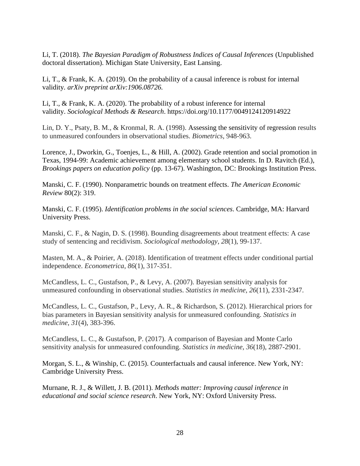Li, T. (2018). *The Bayesian Paradigm of Robustness Indices of Causal Inferences* (Unpublished doctoral dissertation). Michigan State University, East Lansing.

Li, T., & Frank, K. A. (2019). On the probability of a causal inference is robust for internal validity*. arXiv preprint arXiv:1906.08726.*

Li, T., & Frank, K. A. (2020). The probability of a robust inference for internal validity. *Sociological Methods & Research*. <https://doi.org/10.1177/0049124120914922>

Lin, D. Y., Psaty, B. M., & Kronmal, R. A. (1998). Assessing the sensitivity of regression results to unmeasured confounders in observational studies. *Biometrics*, 948-963.

Lorence, J., Dworkin, G., Toenjes, L., & Hill, A. (2002). Grade retention and social promotion in Texas, 1994-99: Academic achievement among elementary school students. In D. Ravitch (Ed.), *Brookings papers on education policy* (pp. 13-67). Washington, DC: Brookings Institution Press.

Manski, C. F. (1990). Nonparametric bounds on treatment effects. *The American Economic Review* 80(2): 319.

Manski, C. F. (1995). *Identification problems in the social sciences*. Cambridge, MA: Harvard University Press.

Manski, C. F., & Nagin, D. S. (1998). Bounding disagreements about treatment effects: A case study of sentencing and recidivism. *Sociological methodology*, *28*(1), 99-137.

Masten, M. A., & Poirier, A. (2018). Identification of treatment effects under conditional partial independence. *Econometrica*, *86*(1), 317-351.

McCandless, L. C., Gustafson, P., & Levy, A. (2007). Bayesian sensitivity analysis for unmeasured confounding in observational studies. *Statistics in medicine*, *26*(11), 2331-2347.

McCandless, L. C., Gustafson, P., Levy, A. R., & Richardson, S. (2012). Hierarchical priors for bias parameters in Bayesian sensitivity analysis for unmeasured confounding. *Statistics in medicine*, *31*(4), 383-396.

McCandless, L. C., & Gustafson, P. (2017). A comparison of Bayesian and Monte Carlo sensitivity analysis for unmeasured confounding. *Statistics in medicine*, *36*(18), 2887-2901.

Morgan, S. L., & Winship, C. (2015). Counterfactuals and causal inference. New York, NY: Cambridge University Press.

Murnane, R. J., & Willett, J. B. (2011). *Methods matter: Improving causal inference in educational and social science research*. New York, NY: Oxford University Press.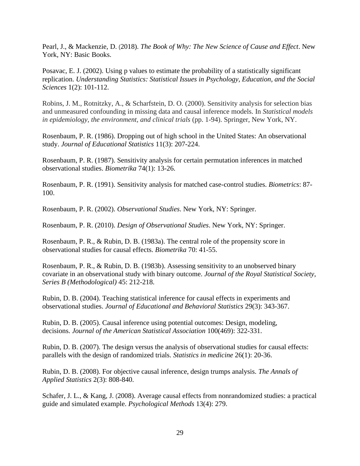Pearl, J., & Mackenzie, D. (2018). *The Book of Why: The New Science of Cause and Effect*. New York, NY: Basic Books.

Posavac, E. J. (2002). Using p values to estimate the probability of a statistically significant replication. *Understanding Statistics: Statistical Issues in Psychology, Education, and the Social Sciences* 1(2): 101-112.

Robins, J. M., Rotnitzky, A., & Scharfstein, D. O. (2000). Sensitivity analysis for selection bias and unmeasured confounding in missing data and causal inference models. In *Statistical models in epidemiology, the environment, and clinical trials* (pp. 1-94). Springer, New York, NY.

Rosenbaum, P. R. (1986). Dropping out of high school in the United States: An observational study. *Journal of Educational Statistics* 11(3): 207-224.

Rosenbaum, P. R. (1987). Sensitivity analysis for certain permutation inferences in matched observational studies. *Biometrika* 74(1): 13-26.

Rosenbaum, P. R. (1991). Sensitivity analysis for matched case-control studies. *Biometrics*: 87- 100.

Rosenbaum, P. R. (2002). *Observational Studies*. New York, NY: Springer.

Rosenbaum, P. R. (2010). *Design of Observational Studies*. New York, NY: Springer.

Rosenbaum, P. R., & Rubin, D. B. (1983a). The central role of the propensity score in observational studies for causal effects. *Biometrika* 70: 41-55.

Rosenbaum, P. R., & Rubin, D. B. (1983b). Assessing sensitivity to an unobserved binary covariate in an observational study with binary outcome. *Journal of the Royal Statistical Society, Series B (Methodological)* 45: 212-218.

Rubin, D. B. (2004). Teaching statistical inference for causal effects in experiments and observational studies. *Journal of Educational and Behavioral Statistics* 29(3): 343-367.

Rubin, D. B. (2005). Causal inference using potential outcomes: Design, modeling, decisions. *Journal of the American Statistical Association* 100(469): 322-331.

Rubin, D. B. (2007). The design versus the analysis of observational studies for causal effects: parallels with the design of randomized trials. *Statistics in medicine* 26(1): 20-36.

Rubin, D. B. (2008). For objective causal inference, design trumps analysis. *The Annals of Applied Statistics* 2(3): 808-840.

Schafer, J. L., & Kang, J. (2008). Average causal effects from nonrandomized studies: a practical guide and simulated example. *Psychological Methods* 13(4): 279.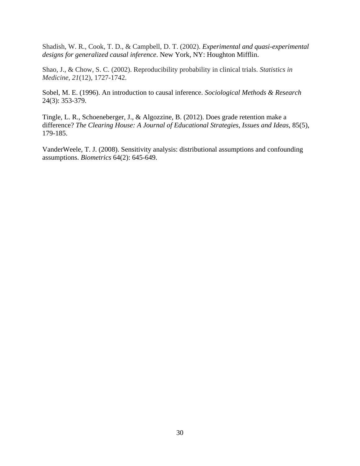Shadish, W. R., Cook, T. D., & Campbell, D. T. (2002). *Experimental and quasi-experimental designs for generalized causal inference*. New York, NY: Houghton Mifflin.

Shao, J., & Chow, S. C. (2002). Reproducibility probability in clinical trials. *Statistics in Medicine*, *21*(12), 1727-1742.

Sobel, M. E. (1996). An introduction to causal inference. *Sociological Methods & Research* 24(3): 353-379.

Tingle, L. R., Schoeneberger, J., & Algozzine, B. (2012). Does grade retention make a difference? *The Clearing House: A Journal of Educational Strategies, Issues and Ideas,* 85(5), 179-185.

VanderWeele, T. J. (2008). Sensitivity analysis: distributional assumptions and confounding assumptions. *Biometrics* 64(2): 645-649.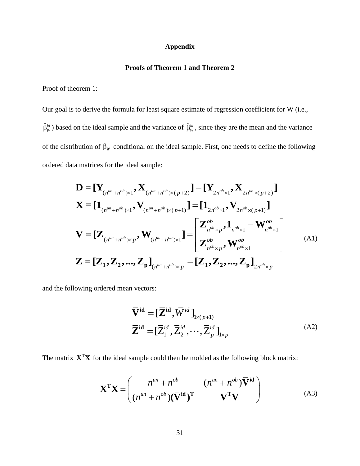## **Appendix**

## **Proofs of Theorem 1 and Theorem 2**

Proof of theorem 1:

Our goal is to derive the formula for least square estimate of regression coefficient for W (i.e.,  $\hat{\beta}_{W}^{id}$ ) based on the ideal sample and the variance of  $\hat{\beta}_{W}^{id}$ , since they are the mean and the variance of the distribution of  $\beta_w$  conditional on the ideal sample. First, one needs to define the following ordered data matrices for the ideal sample:

a matrices for the ideal sample:  
\n
$$
\mathbf{D} = [\mathbf{Y}_{(n^{un}+n^{ob})\times 1}, \mathbf{X}_{(n^{un}+n^{ob})\times (p+2)}] = [\mathbf{Y}_{2n^{ob}\times 1}, \mathbf{X}_{2n^{ob}\times (p+2)}]
$$
\n
$$
\mathbf{X} = [\mathbf{1}_{(n^{un}+n^{ob})\times 1}, \mathbf{V}_{(n^{un}+n^{ob})\times (p+1)}] = [\mathbf{1}_{2n^{ob}\times 1}, \mathbf{V}_{2n^{ob}\times (p+1)}]
$$
\n
$$
\mathbf{V} = [\mathbf{Z}_{(n^{un}+n^{ob})\times p}, \mathbf{W}_{(n^{un}+n^{ob})\times 1}] = \begin{bmatrix} \mathbf{Z}_{n^{ob}\times p}^{ob}, \mathbf{1}_{n^{ob}\times 1} - \mathbf{W}_{n^{ob}\times 1}^{ob} \\ \mathbf{Z}_{n^{ob}\times p}, \mathbf{W}_{n^{ob}\times 1}^{ob} \end{bmatrix}
$$
\n(A1)\n
$$
\mathbf{Z} = [\mathbf{Z}_{1}, \mathbf{Z}_{2}, ..., \mathbf{Z}_{p}]_{(n^{un}+n^{ob})\times p} = [\mathbf{Z}_{1}, \mathbf{Z}_{2}, ..., \mathbf{Z}_{p}]_{2n^{ob}\times p}
$$

and the following ordered mean vectors:

$$
\overline{\mathbf{V}}^{\mathbf{id}} = [\overline{\mathbf{Z}}^{\mathbf{id}}, \overline{W}^{id}]_{1 \times (p+1)}
$$
\n
$$
\overline{\mathbf{Z}}^{\mathbf{id}} = [\overline{Z}_{1}^{id}, \overline{Z}_{2}^{id}, \cdots, \overline{Z}_{p}^{id}]_{1 \times p}
$$
\n(A2)

The matrix  $X^T X$  for the ideal sample could then be molded as the following block matrix:

$$
\mathbf{X}^{\mathrm{T}}\mathbf{X} = \begin{pmatrix} n^{un} + n^{ob} & (n^{un} + n^{ob})\overline{\mathbf{V}}^{\mathrm{id}} \\ (n^{un} + n^{ob})(\overline{\mathbf{V}}^{\mathrm{id}})^{\mathrm{T}} & \mathbf{V}^{\mathrm{T}}\mathbf{V} \end{pmatrix}
$$
(A3)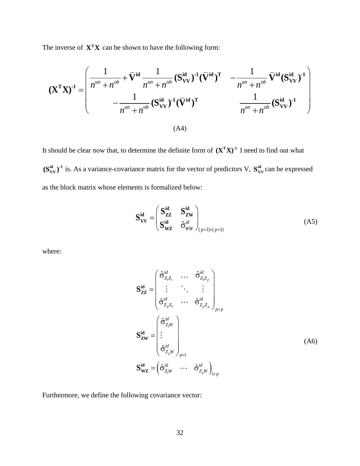The inverse of  $X^T X$  can be shown to have the following form:

ne inverse of 
$$
\mathbf{X}^T \mathbf{X}
$$
 can be shown to have the following form:  
\n
$$
(\mathbf{X}^T \mathbf{X})^{-1} = \begin{pmatrix}\n\frac{1}{n^{un} + n^{ob}} + \overline{\mathbf{V}}^{id} \frac{1}{n^{un} + n^{ob}} (\mathbf{S}_{VV}^{id})^{-1} (\overline{\mathbf{V}}^{id})^T - \frac{1}{n^{un} + n^{ob}} \overline{\mathbf{V}}^{id} (\mathbf{S}_{VV}^{id})^{-1} \\
-\frac{1}{n^{un} + n^{ob}} (\mathbf{S}_{VV}^{id})^{-1} (\overline{\mathbf{V}}^{id})^T - \frac{1}{n^{un} + n^{ob}} (\mathbf{S}_{VV}^{id})^{-1}\n\end{pmatrix}
$$
\n(A4)

It should be clear now that, to determine the definite form of  $(X<sup>T</sup>X)<sup>-1</sup>$  I need to find out what  $(S_{VV}^{id})^{-1}$  is. As a variance-covariance matrix for the vector of predictors V,  $S_{VV}^{id}$  can be expressed as the block matrix whose elements is formalized below:

$$
\mathbf{S}_{\mathbf{V}\mathbf{V}}^{\mathbf{id}} = \begin{pmatrix} \mathbf{S}_{\mathbf{Z}\mathbf{Z}}^{\mathbf{id}} & \mathbf{S}_{\mathbf{Z}\mathbf{W}}^{\mathbf{id}} \\ \mathbf{S}_{\mathbf{W}\mathbf{Z}}^{\mathbf{id}} & \hat{\sigma}_{WW}^{id} \end{pmatrix}_{(p+1)\times (p+1)}
$$
(A5)

where:

$$
\mathbf{S}_{\mathbf{ZZ}}^{\mathbf{id}} = \begin{pmatrix} \hat{\sigma}_{Z_1 Z_1}^{id} & \cdots & \hat{\sigma}_{Z_1 Z_p}^{id} \\ \vdots & \ddots & \vdots \\ \hat{\sigma}_{Z_p Z_1}^{id} & \cdots & \hat{\sigma}_{Z_p Z_p}^{id} \end{pmatrix}_{p \times p}
$$

$$
\mathbf{S}_{\mathbf{ZW}}^{\mathbf{id}} = \begin{pmatrix} \hat{\sigma}_{Z_1 W}^{id} \\ \vdots \\ \hat{\sigma}_{Z_p W}^{id} \end{pmatrix}_{p \times 1}
$$

$$
\mathbf{S}_{\mathbf{WZ}}^{\mathbf{id}} = \begin{pmatrix} \hat{\sigma}_{Z_1 W}^{id} & \cdots & \hat{\sigma}_{Z_p W}^{id} \end{pmatrix}_{1 \times p}
$$
(A6)

Furthermore, we define the following covariance vector: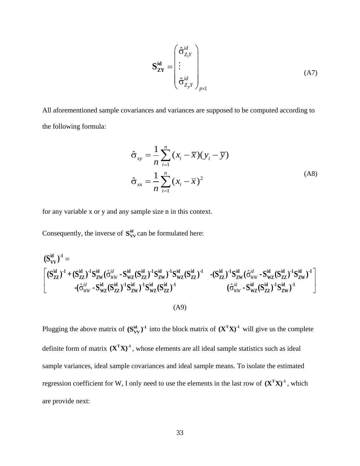$$
\mathbf{S}_{\mathbf{ZY}}^{\mathbf{id}} = \begin{pmatrix} \hat{\sigma}_{Z_1 Y}^{id} \\ \vdots \\ \hat{\sigma}_{Z_p Y}^{id} \end{pmatrix}_{p \times 1}
$$
 (A7)

All aforementioned sample covariances and variances are supposed to be computed according to the following formula:

$$
\hat{\sigma}_{xy} = \frac{1}{n} \sum_{i=1}^{n} (x_i - \overline{x})(y_i - \overline{y})
$$
  

$$
\hat{\sigma}_{xx} = \frac{1}{n} \sum_{i=1}^{n} (x_i - \overline{x})^2
$$
 (A8)

for any variable x or y and any sample size n in this context.

Consequently, the inverse of  $S_{VV}^{id}$  can be formulated here:

Consequently, the inverse of 
$$
\mathbf{S}_{VV}^{\mathbf{id}}
$$
 can be formulated here:  
\n
$$
(\mathbf{S}_{VV}^{\mathbf{id}})^{-1} = \begin{bmatrix} (\mathbf{S}_{ZZ}^{\mathbf{id}})^{-1} \mathbf{S}_{ZW}^{\mathbf{id}} (\hat{\sigma}_{WW}^{id} - \mathbf{S}_{WZ}^{\mathbf{id}} (\mathbf{S}_{ZZ}^{id})^{-1} \mathbf{S}_{ZW}^{id})^{-1} \mathbf{S}_{WZ}^{\mathbf{id}} (\mathbf{S}_{ZZ}^{id})^{-1} - (\mathbf{S}_{ZZ}^{id})^{-1} \mathbf{S}_{ZW}^{\mathbf{id}} (\hat{\sigma}_{WW}^{id} - \mathbf{S}_{WZ}^{\mathbf{id}} (\mathbf{S}_{ZZ}^{id})^{-1} \mathbf{S}_{ZW}^{\mathbf{id}})^{-1} \\ -(\hat{\sigma}_{WW}^{id} - \mathbf{S}_{WZ}^{\mathbf{id}} (\mathbf{S}_{ZZ}^{id})^{-1} \mathbf{S}_{ZW}^{\mathbf{id}})^{-1} \mathbf{S}_{WZ}^{\mathbf{id}} (\mathbf{S}_{ZZ}^{id})^{-1} \end{bmatrix} (\hat{\sigma}_{WW}^{id} - \mathbf{S}_{WZ}^{\mathbf{id}} (\mathbf{S}_{ZZ}^{id})^{-1} \mathbf{S}_{ZW}^{\mathbf{id}})^{-1}
$$
\n(A9)

 $x_i$ <br>  $\hat{\sigma}^{id}_{Z_i}$ <br>  $\vdots$ <br>  $\hat{\sigma}^{id}_{Z_i}$ <br>  $\vdots$ <br>  $\vdots$ <br>  $\vdots$ <br>  $x_i$  —<br>
this<br>
ated<br>  $w_z$  ((k<br>
A9)<br>
lock<br>
ts are<br>
dez<br>
the e<br>  $\vdots$ Plugging the above matrix of  $(S_{VV}^{id})^{-1}$  into the block matrix of  $(X^TX)^{-1}$  will give us the complete definite form of matrix  $(X^TX)^{-1}$ , whose elements are all ideal sample statistics such as ideal sample variances, ideal sample covariances and ideal sample means. To isolate the estimated regression coefficient for W, I only need to use the elements in the last row of  $(X^TX)^1$ , which are provide next: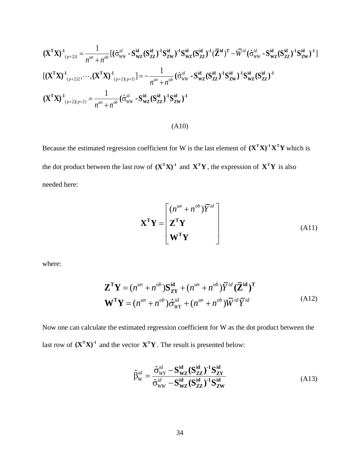$$
(\mathbf{X}^{\mathsf{T}}\mathbf{X})^{4}{}_{(p+2)1} = \frac{1}{n^{m} + n^{\omega}} [(\hat{\sigma}_{\text{WW}}^{i\omega} \cdot \mathbf{S}_{\text{WZ}}^{i\alpha} (\mathbf{S}_{\text{ZZ}}^{i\alpha})^{4}] \mathbf{S}_{\text{WZ}}^{i\alpha} (\mathbf{S}_{\text{ZZ}}^{i\alpha})^{4} (\bar{\mathbf{Z}}^{i\alpha})^{4} (\bar{\mathbf{Z}}^{i\alpha})^{4} - \bar{\mathbf{W}}^{i\alpha} (\hat{\sigma}_{\text{WW}}^{i\alpha} \cdot \mathbf{S}_{\text{WZ}}^{i\alpha} (\mathbf{S}_{\text{ZZ}}^{i\alpha})^{4})^{4}] \times \frac{1}{(n^{2} \cdot 2^{2})^{2}} \cdot \cdots \cdot (\mathbf{X}^{\mathsf{T}}\mathbf{X})^{4} \cdot_{(p+2)(p+2)} = \frac{1}{n^{m} + n^{\omega}} [\hat{\sigma}_{\text{WW}}^{i\alpha} \cdot \mathbf{S}_{\text{WZ}}^{i\alpha} (\mathbf{S}_{\text{ZZ}}^{i\alpha})^{4}] \mathbf{S}_{\text{WZ}}^{i\alpha} (\mathbf{S}_{\text{ZZ}}^{i\alpha})^{4} - \frac{1}{(n^{2} \cdot 2^{2})^{2}(p+2)} \cdot \frac{1}{n^{m} + n^{\omega}} [\hat{\sigma}_{\text{WW}}^{i\alpha} \cdot \mathbf{S}_{\text{WZ}}^{i\alpha} (\mathbf{S}_{\text{ZZ}}^{i\alpha})^{4}] \times \frac{1}{(n^{2} \cdot 2^{2})^{2}(p+2)} \cdot \mathbf{S}_{\text{WZ}}^{i\alpha} (\mathbf{S}_{\text{ZZ}}^{i\alpha})^{4} - \frac{1}{(n^{2} \cdot 2^{2})^{2}(p+2)} \cdot \frac{1}{n^{2} \cdot 2^{2}(p+2)} \cdot \frac{1}{(n^{2} \cdot 2^{2})^{2}(p+2)} \cdot \frac{1}{(n^{2} \cdot 2^{2})^{2}(p+2)} \cdot \frac{1}{(n^{2} \cdot 2^{2})^{2}(p+2)} \cdot \frac{1}{(n^{2} \cdot 2^{2})^{2}(p+2)} \cdot \frac{1}{(n^{2} \cdot 2^{2})^{2}(p+2)} \cdot \frac{1}{(n^{2
$$

(A10)

Because the estimated regression coefficient for W is the last element of  $(X^T X)^{-1} X^T Y$  which is the dot product between the last row of  $(\mathbf{X}^T \mathbf{X})^{\text{-}1}$  and  $\mathbf{X}^T \mathbf{Y}$ , the expression of  $\mathbf{X}^T \mathbf{Y}$  is also needed here:

$$
\mathbf{X}^{\mathbf{T}}\mathbf{Y} = \begin{bmatrix} (n^{un} + n^{ob})\overline{Y}^{id} \\ \mathbf{Z}^{\mathbf{T}}\mathbf{Y} \\ \mathbf{W}^{\mathbf{T}}\mathbf{Y} \end{bmatrix}
$$
(A11)

where:

$$
\mathbf{Z}^{\mathbf{T}}\mathbf{Y} = (n^{\mu n} + n^{\text{ob}})\mathbf{S}_{\mathbf{Z}\mathbf{Y}}^{\mathbf{id}} + (n^{\mu n} + n^{\text{ob}})\overline{Y}^{\text{id}}(\overline{\mathbf{Z}}^{\mathbf{id}})^{\mathbf{T}}
$$

$$
\mathbf{W}^{\mathbf{T}}\mathbf{Y} = (n^{\mu n} + n^{\text{ob}})\hat{\sigma}_{\text{WY}}^{\text{id}} + (n^{\mu n} + n^{\text{ob}})\overline{W}^{\text{id}}\overline{Y}^{\text{id}}
$$
(A12)

Now one can calculate the estimated regression coefficient for W as the dot product between the last row of  $(\mathbf{X}^T \mathbf{X})^T$  and the vector  $\mathbf{X}^T \mathbf{Y}$ . The result is presented below:

$$
\hat{\beta}_{W}^{id} = \frac{\hat{\sigma}_{WY}^{id} - \mathbf{S}_{WZ}^{id} (\mathbf{S}_{ZZ}^{id})^{-1} \mathbf{S}_{ZY}^{id}}{\hat{\sigma}_{WW}^{id} - \mathbf{S}_{WZ}^{id} (\mathbf{S}_{ZZ}^{id})^{-1} \mathbf{S}_{ZW}^{id}}
$$
(A13)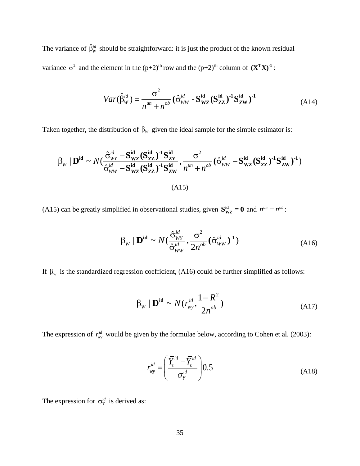The variance of  $\hat{\beta}_{W}^{id}$  should be straightforward: it is just the product of the known residual variance  $\sigma^2$  and the element in the  $(p+2)^{th}$  row and the  $(p+2)^{th}$  column of  $(\mathbf{X}^T \mathbf{X})^{-1}$ :

$$
Var(\hat{\beta}_W^{id}) = \frac{\sigma^2}{n^{un} + n^{ob}} (\hat{\sigma}_{WW}^{id} \cdot \mathbf{S}_{WZ}^{id} (\mathbf{S}_{ZZ}^{id})^{-1} \mathbf{S}_{ZW}^{id})^{-1}
$$
(A14)

Taken together, the distribution of β<sub>w</sub> given the ideal sample for the simple estimator is:  
\n
$$
\beta_{w} | \mathbf{D}^{\text{id}} \sim N \left( \frac{\hat{\sigma}_{WY}^{\text{id}} - \mathbf{S}_{WZ}^{\text{id}} (\mathbf{S}_{ZZ}^{\text{id}})^{-1} \mathbf{S}_{ZY}^{\text{id}}}{\hat{\sigma}_{WW}^{\text{id}} - \mathbf{S}_{WZ}^{\text{id}} (\mathbf{S}_{ZZ}^{\text{id}})^{-1} \mathbf{S}_{ZW}^{\text{id}}}, \frac{\sigma^{2}}{n^{\mu n} + n^{ob}} (\hat{\sigma}_{WW}^{\text{id}} - \mathbf{S}_{WZ}^{\text{id}} (\mathbf{S}_{ZZ}^{\text{id}})^{-1} \mathbf{S}_{ZW}^{\text{id}})^{-1})
$$
\n(A15)

(A15) can be greatly simplified in observational studies, given  $S_{\text{WZ}}^{\text{id}} = 0$  and  $n^{\mu n} = n^{ob}$ :

$$
\beta_{\scriptscriptstyle W} \mid \mathbf{D}^{\rm id} \sim N(\frac{\hat{\sigma}_{\scriptscriptstyle W\scriptscriptstyle Y}^{id}}{\hat{\sigma}_{\scriptscriptstyle WW}^{id}}, \frac{\sigma^2}{2n^{\scriptscriptstyle ob}}(\hat{\sigma}_{\scriptscriptstyle WW}^{id})^{\text{-1}})
$$
\n(A16)

If  $\beta_w$  is the standardized regression coefficient, (A16) could be further simplified as follows:

$$
\beta_{\scriptscriptstyle W} \mid \mathbf{D}^{\rm id} \sim N(r_{\scriptscriptstyle W}^{\scriptscriptstyle id}, \frac{1 - R^2}{2n^{\scriptscriptstyle ob}})
$$
\n(A17)

The expression of  $r_{\text{av}}^{id}$  $r_{wy}^{id}$  would be given by the formulae below, according to Cohen et al. (2003):

$$
r_{wy}^{id} = \left(\frac{\overline{Y}_t^{id} - \overline{Y}_c^{id}}{\sigma_Y^{id}}\right) 0.5
$$
 (A18)

The expression for  $\sigma_Y^{id}$  is derived as: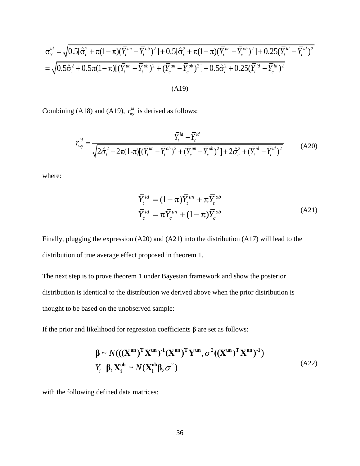$$
\sigma_{y}^{ld} = \sqrt{0.5[\hat{\sigma}_{i}^{2} + \pi(1-\pi)(\overline{Y}_{i}^{nn} - \overline{Y}_{i}^{nb})^{2}] + 0.5[\hat{\sigma}_{c}^{2} + \pi(1-\pi)(\overline{Y}_{i}^{nn} - \overline{Y}_{i}^{nb})^{2}] + 0.25(\overline{Y}_{i}^{nl} - \overline{Y}_{i}^{nb})^{2}} = \sqrt{0.5\hat{\sigma}_{i}^{2} + 0.5\pi(1-\pi)[(\overline{Y}_{i}^{nn} - \overline{Y}_{i}^{nb})^{2} + (\overline{Y}_{i}^{mn} - \overline{Y}_{i}^{nb})^{2}] + 0.5\hat{\sigma}_{c}^{2} + 0.25(\overline{Y}_{i}^{nl} - \overline{Y}_{i}^{nl})^{2}}
$$
\n(A19)  
\nCombining (A18) and (A19),  $r_{\text{av}}^{kl}$  is derived as follows:  
\n
$$
r_{\text{av}}^{kl} = \frac{\overline{Y}_{i}^{nl} - \overline{Y}_{i}^{nl}}{\sqrt{2\hat{\sigma}_{i}^{2} + 2\pi(1-\pi)[(\overline{Y}_{i}^{mn} - \overline{Y}_{i}^{nb})^{2} + (\overline{Y}_{i}^{mn} - \overline{Y}_{i}^{nb})^{2}] + 2\hat{\sigma}_{i}^{2} + (\overline{Y}_{i}^{nl} - \overline{Y}_{i}^{ln})^{2}}}
$$
\n(A20)  
\nwhere:  
\n
$$
\overline{Y}_{i}^{nl} = (1-\pi)\overline{Y}_{i}^{nn} + (\overline{Y}_{i}^{mb})^{2}
$$
\n
$$
\overline{Y}_{i}^{nl} = \pi \overline{Y}_{i}^{nn} + (1-\pi)\overline{Y}_{i}^{nb}
$$
\n(A21)  
\nFinally, plugging the expression (A20) and (A21) into the distribution (A17) will lead to the distribution of true average effect proposed in theorem 1.  
\nThe next step is to prove theorem 1 under Bayesian framework and show the posterior distribution is identical to the distribution we derived above when the prior distribution is  
\nshow that to be based on the unobserved sample:  
\n
$$
\beta \sim N(((\mathbf{X}^{nn})^{\mathrm{T}}\mathbf{X}^{nn})^{\mathrm{T}}(\mathbf{Y}^{nn})^{\mathrm{T}}\mathbf{Y}^{nn}, \sigma^{2}((\mathbf{X}^{
$$

Combining (A18) and (A19),  $r_{\text{av}}^{id}$ 

(A18) and (A19), 
$$
r_{wy}^{id}
$$
 is derived as follows:  
\n
$$
r_{wy}^{id} = \frac{\overline{Y}_{t}^{id} - \overline{Y}_{c}^{id}}{\sqrt{2\hat{\sigma}_{t}^{2} + 2\pi(1-\pi)[(\overline{Y}_{t}^{un} - \overline{Y}_{t}^{ob})^{2} + (\overline{Y}_{c}^{un} - \overline{Y}_{c}^{ob})^{2} + 2\hat{\sigma}_{c}^{2} + (\overline{Y}_{t}^{id} - \overline{Y}_{c}^{id})^{2}}}
$$
\n(A20)

where:

$$
\overline{Y}_t^{id} = (1 - \pi)\overline{Y}_t^{un} + \pi \overline{Y}_t^{ob}
$$
\n
$$
\overline{Y}_c^{id} = \pi \overline{Y}_c^{un} + (1 - \pi)\overline{Y}_c^{ob}
$$
\n(A21)

Finally, plugging the expression (A20) and (A21) into the distribution (A17) will lead to the distribution of true average effect proposed in theorem 1.

The next step is to prove theorem 1 under Bayesian framework and show the posterior distribution is identical to the distribution we derived above when the prior distribution is thought to be based on the unobserved sample:

If the prior and likelihood for regression coefficients **β** are set as follows:

$$
\beta \sim N(((\mathbf{X}^{\mathsf{un}})^{\mathsf{T}} \mathbf{X}^{\mathsf{un}})^{\mathsf{-1}} (\mathbf{X}^{\mathsf{un}})^{\mathsf{T}} \mathbf{Y}^{\mathsf{un}}, \sigma^2 ((\mathbf{X}^{\mathsf{un}})^{\mathsf{T}} \mathbf{X}^{\mathsf{un}})^{\mathsf{-1}})
$$
  
\n
$$
Y_i | \beta, \mathbf{X}_i^{\mathsf{ob}} \sim N(\mathbf{X}_i^{\mathsf{ob}} \beta, \sigma^2)
$$
\n(A22)

with the following defined data matrices: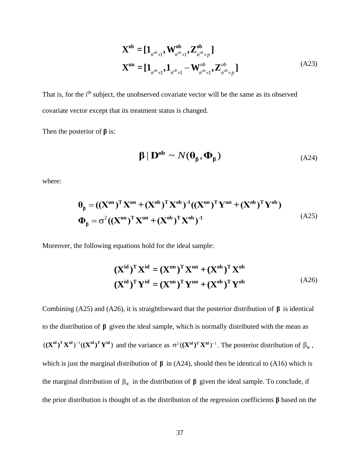$$
\mathbf{X}^{ob} = [\mathbf{1}_{n^{ob} \times 1}, \mathbf{W}_{n^{ob} \times 1}^{ob}, \mathbf{Z}_{n^{ob} \times p}^{ob}]
$$
  

$$
\mathbf{X}^{un} = [\mathbf{1}_{n^{ob} \times 1}, \mathbf{1}_{n^{ob} \times 1} - \mathbf{W}_{n^{ob} \times 1}^{ob}, \mathbf{Z}_{n^{ob} \times p}^{ob}]
$$
 (A23)

That is, for the i<sup>th</sup> subject, the unobserved covariate vector will be the same as its observed covariate vector except that its treatment status is changed.

Then the posterior of **β** is:

$$
\beta \mid \mathbf{D}^{\mathrm{ob}} \sim N(\theta_{\beta}, \Phi_{\beta}) \tag{A24}
$$

where:

$$
\theta_{\beta} = ((\mathbf{X}^{\mathbf{u}\mathbf{n}})^{\mathbf{T}} \mathbf{X}^{\mathbf{u}\mathbf{n}} + (\mathbf{X}^{\mathbf{0}\mathbf{b}})^{\mathbf{T}} \mathbf{X}^{\mathbf{0}\mathbf{b}})^{-1} ((\mathbf{X}^{\mathbf{u}\mathbf{n}})^{\mathbf{T}} \mathbf{Y}^{\mathbf{u}\mathbf{n}} + (\mathbf{X}^{\mathbf{0}\mathbf{b}})^{\mathbf{T}} \mathbf{Y}^{\mathbf{0}\mathbf{b}})
$$
\n
$$
\Phi_{\beta} = \sigma^{2} ((\mathbf{X}^{\mathbf{u}\mathbf{n}})^{\mathbf{T}} \mathbf{X}^{\mathbf{u}\mathbf{n}} + (\mathbf{X}^{\mathbf{0}\mathbf{b}})^{\mathbf{T}} \mathbf{X}^{\mathbf{0}\mathbf{b}})^{-1}
$$
\n(A25)

Moreover, the following equations hold for the ideal sample:

$$
(\mathbf{X}^{\text{id}})^{\text{T}} \mathbf{X}^{\text{id}} = (\mathbf{X}^{\text{un}})^{\text{T}} \mathbf{X}^{\text{un}} + (\mathbf{X}^{\text{ob}})^{\text{T}} \mathbf{X}^{\text{ob}}
$$

$$
(\mathbf{X}^{\text{id}})^{\text{T}} \mathbf{Y}^{\text{id}} = (\mathbf{X}^{\text{un}})^{\text{T}} \mathbf{Y}^{\text{un}} + (\mathbf{X}^{\text{ob}})^{\text{T}} \mathbf{Y}^{\text{ob}}
$$
(A26)

Combining (A25) and (A26), it is straightforward that the posterior distribution of  $\beta$  is identical to the distribution of  $\beta$  given the ideal sample, which is normally distributed with the mean as  $((X^{id})^T X^{id})^{-1} ((X^{id})^T Y^{id})$  and the variance as  $\sigma^2 ((X^{id})^T X^{id})^{-1}$ . The posterior distribution of  $\beta_w$ , which is just the marginal distribution of  $\beta$  in (A24), should then be identical to (A16) which is the marginal distribution of  $\beta_w$  in the distribution of  $\beta$  given the ideal sample. To conclude, if the prior distribution is thought of as the distribution of the regression coefficients **β** based on the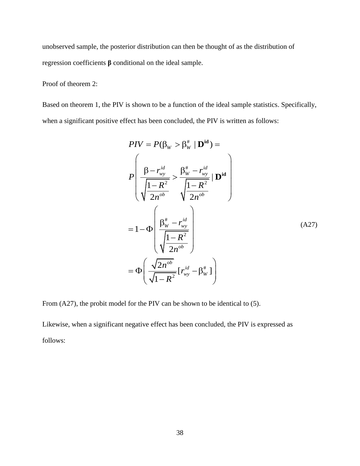unobserved sample, the posterior distribution can then be thought of as the distribution of regression coefficients **β** conditional on the ideal sample.

# Proof of theorem 2:

Based on theorem 1, the PIV is shown to be a function of the ideal sample statistics. Specifically, when a significant positive effect has been concluded, the PIV is written as follows:

$$
PIV = P(\beta_W > \beta_W^* | \mathbf{D}^{\mathrm{id}}) =
$$
\n
$$
P\left(\frac{\beta - r_{wy}^{id}}{\sqrt{\frac{1 - R^2}{2n^{ob}}}} > \frac{\beta_W^* - r_{wy}^{id}}{\sqrt{\frac{1 - R^2}{2n^{ob}}}} | \mathbf{D}^{\mathrm{id}}\right)
$$
\n
$$
= 1 - \Phi\left(\frac{\beta_W^* - r_{wy}^{id}}{\sqrt{\frac{1 - R^2}{2n^{ob}}}}\right)
$$
\n
$$
= \Phi\left(\frac{\sqrt{2n^{ob}}}{\sqrt{1 - R^2}} [r_{wy}^{id} - \beta_W^*] \right)
$$
\n(A27)

From (A27), the probit model for the PIV can be shown to be identical to (5).

Likewise, when a significant negative effect has been concluded, the PIV is expressed as follows: